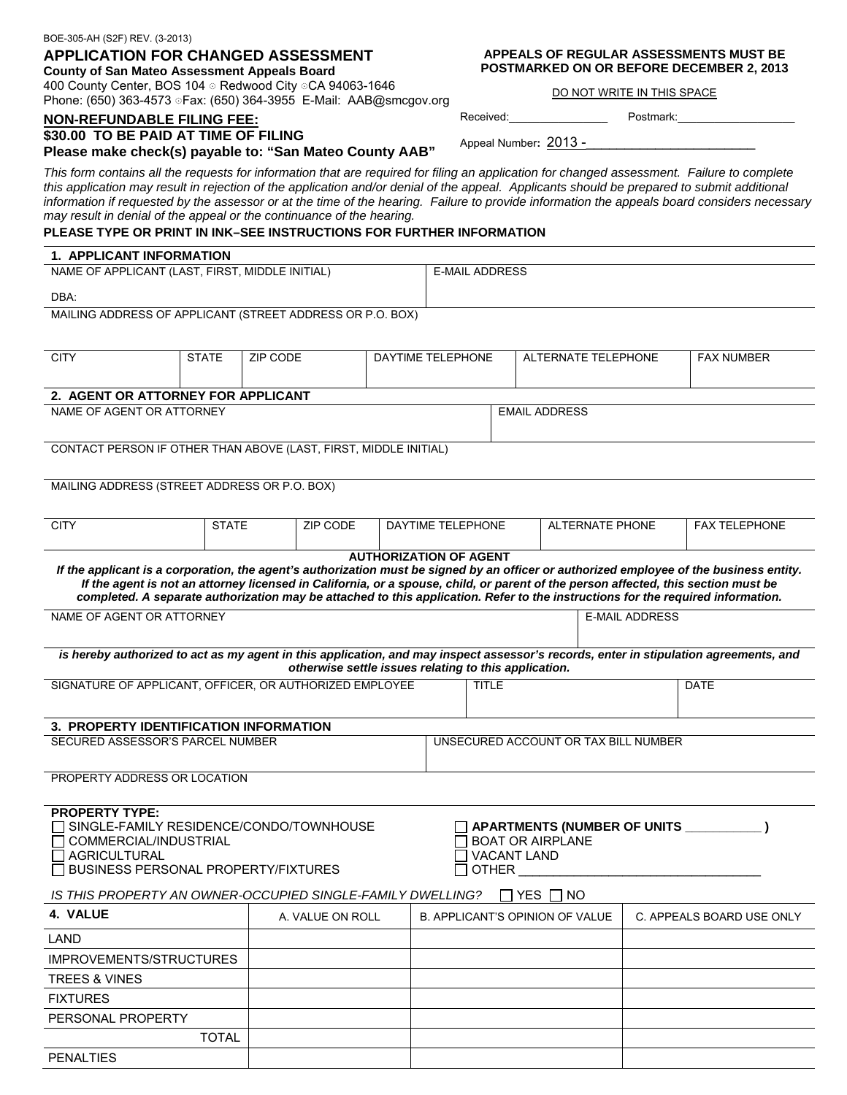#### BOE-305-AH (S2F) REV. (3-2013)

# **APPLICATION FOR CHANGED ASSESSMENT**

**County of San Mateo Assessment Appeals Board**  400 County Center, BOS 104 Redwood City © CA 94063-1646 Phone: (650) 363-4573 Fax: (650) 364-3955 E-Mail: AAB@smcgov.org

### **NON-REFUNDABLE FILING FEE:**

#### **\$30.00 TO BE PAID AT TIME OF FILING**

## **Please make check(s) payable to: "San Mateo County AAB"**

*This form contains all the requests for information that are required for filing an application for changed assessment. Failure to complete this application may result in rejection of the application and/or denial of the appeal. Applicants should be prepared to submit additional information if requested by the assessor or at the time of the hearing. Failure to provide information the appeals board considers necessary may result in denial of the appeal or the continuance of the hearing.*

# **PLEASE TYPE OR PRINT IN INK–SEE INSTRUCTIONS FOR FURTHER INFORMATION**

### **1. APPLICANT INFORMATION**

| NAME OF APPLICANT (LAST, FIRST, MIDDLE INITIAL)           | E-MAIL ADDRESS |
|-----------------------------------------------------------|----------------|
| DBA:                                                      |                |
| MAILING ADDRESS OF APPLICANT (STREET ADDRESS OR P.O. BOX) |                |
|                                                           |                |

| <b>CITY</b>                                                                                                                                                                                                                                                                                                                                                                                                                                         | <b>STATE</b> | <b>ZIP CODE</b>                                       |  | DAYTIME TELEPHONE |                                             | ALTERNATE TELEPHONE                    |  |             | <b>FAX NUMBER</b>                                         |
|-----------------------------------------------------------------------------------------------------------------------------------------------------------------------------------------------------------------------------------------------------------------------------------------------------------------------------------------------------------------------------------------------------------------------------------------------------|--------------|-------------------------------------------------------|--|-------------------|---------------------------------------------|----------------------------------------|--|-------------|-----------------------------------------------------------|
| 2. AGENT OR ATTORNEY FOR APPLICANT                                                                                                                                                                                                                                                                                                                                                                                                                  |              |                                                       |  |                   |                                             |                                        |  |             |                                                           |
| NAME OF AGENT OR ATTORNEY<br><b>EMAIL ADDRESS</b>                                                                                                                                                                                                                                                                                                                                                                                                   |              |                                                       |  |                   |                                             |                                        |  |             |                                                           |
| CONTACT PERSON IF OTHER THAN ABOVE (LAST, FIRST, MIDDLE INITIAL)                                                                                                                                                                                                                                                                                                                                                                                    |              |                                                       |  |                   |                                             |                                        |  |             |                                                           |
| MAILING ADDRESS (STREET ADDRESS OR P.O. BOX)                                                                                                                                                                                                                                                                                                                                                                                                        |              |                                                       |  |                   |                                             |                                        |  |             |                                                           |
|                                                                                                                                                                                                                                                                                                                                                                                                                                                     |              |                                                       |  |                   |                                             |                                        |  |             |                                                           |
| <b>CITY</b>                                                                                                                                                                                                                                                                                                                                                                                                                                         | <b>STATE</b> | ZIP CODE                                              |  |                   | DAYTIME TELEPHONE<br><b>ALTERNATE PHONE</b> |                                        |  |             | <b>FAX TELEPHONE</b>                                      |
| <b>AUTHORIZATION OF AGENT</b><br>If the applicant is a corporation, the agent's authorization must be signed by an officer or authorized employee of the business entity.<br>If the agent is not an attorney licensed in California, or a spouse, child, or parent of the person affected, this section must be<br>completed. A separate authorization may be attached to this application. Refer to the instructions for the required information. |              |                                                       |  |                   |                                             |                                        |  |             |                                                           |
| NAME OF AGENT OR ATTORNEY                                                                                                                                                                                                                                                                                                                                                                                                                           |              |                                                       |  |                   |                                             | <b>E-MAIL ADDRESS</b>                  |  |             |                                                           |
| is hereby authorized to act as my agent in this application, and may inspect assessor's records, enter in stipulation agreements, and                                                                                                                                                                                                                                                                                                               |              | otherwise settle issues relating to this application. |  |                   |                                             |                                        |  |             |                                                           |
| SIGNATURE OF APPLICANT, OFFICER, OR AUTHORIZED EMPLOYEE                                                                                                                                                                                                                                                                                                                                                                                             |              |                                                       |  | <b>TITLE</b>      |                                             |                                        |  | <b>DATE</b> |                                                           |
| 3. PROPERTY IDENTIFICATION INFORMATION                                                                                                                                                                                                                                                                                                                                                                                                              |              |                                                       |  |                   |                                             |                                        |  |             |                                                           |
| SECURED ASSESSOR'S PARCEL NUMBER<br>UNSECURED ACCOUNT OR TAX BILL NUMBER                                                                                                                                                                                                                                                                                                                                                                            |              |                                                       |  |                   |                                             |                                        |  |             |                                                           |
| PROPERTY ADDRESS OR LOCATION                                                                                                                                                                                                                                                                                                                                                                                                                        |              |                                                       |  |                   |                                             |                                        |  |             |                                                           |
| <b>PROPERTY TYPE:</b><br>$\Box$ COMMERCIAL/INDUSTRIAL<br>$\sqcap$ AGRICULTURAL<br>$\Box$ BUSINESS PERSONAL PROPERTY/FIXTURES                                                                                                                                                                                                                                                                                                                        |              | SINGLE-FAMILY RESIDENCE/CONDO/TOWNHOUSE               |  |                   | <b>VACANT LAND</b><br><b>OTHER</b>          | <b>BOAT OR AIRPLANE</b>                |  |             | $\Box$ APARTMENTS (NUMBER OF UNITS $\_\_\_\_\_\_\_\_\_\_$ |
| IS THIS PROPERTY AN OWNER-OCCUPIED SINGLE-FAMILY DWELLING?                                                                                                                                                                                                                                                                                                                                                                                          |              |                                                       |  |                   |                                             | ∏YES ∏NO                               |  |             |                                                           |
| 4. VALUE                                                                                                                                                                                                                                                                                                                                                                                                                                            |              | A. VALUE ON ROLL                                      |  |                   |                                             | <b>B. APPLICANT'S OPINION OF VALUE</b> |  |             | C. APPEALS BOARD USE ONLY                                 |
| LAND                                                                                                                                                                                                                                                                                                                                                                                                                                                |              |                                                       |  |                   |                                             |                                        |  |             |                                                           |
| <b>IMPROVEMENTS/STRUCTURES</b>                                                                                                                                                                                                                                                                                                                                                                                                                      |              |                                                       |  |                   |                                             |                                        |  |             |                                                           |
| <b>TREES &amp; VINES</b>                                                                                                                                                                                                                                                                                                                                                                                                                            |              |                                                       |  |                   |                                             |                                        |  |             |                                                           |
| <b>FIXTURES</b>                                                                                                                                                                                                                                                                                                                                                                                                                                     |              |                                                       |  |                   |                                             |                                        |  |             |                                                           |
| PERSONAL PROPERTY                                                                                                                                                                                                                                                                                                                                                                                                                                   |              |                                                       |  |                   |                                             |                                        |  |             |                                                           |
|                                                                                                                                                                                                                                                                                                                                                                                                                                                     | <b>TOTAL</b> |                                                       |  |                   |                                             |                                        |  |             |                                                           |
| <b>PENALTIES</b>                                                                                                                                                                                                                                                                                                                                                                                                                                    |              |                                                       |  |                   |                                             |                                        |  |             |                                                           |

#### **APPEALS OF REGULAR ASSESSMENTS MUST BE POSTMARKED ON OR BEFORE DECEMBER 2, 2013**

DO NOT WRITE IN THIS SPACE

Received:\_\_\_\_\_\_\_\_\_\_\_\_\_\_\_\_ Postmark:\_\_\_\_\_\_\_\_\_\_\_\_\_\_\_\_\_\_\_

Appeal Number: 2013 -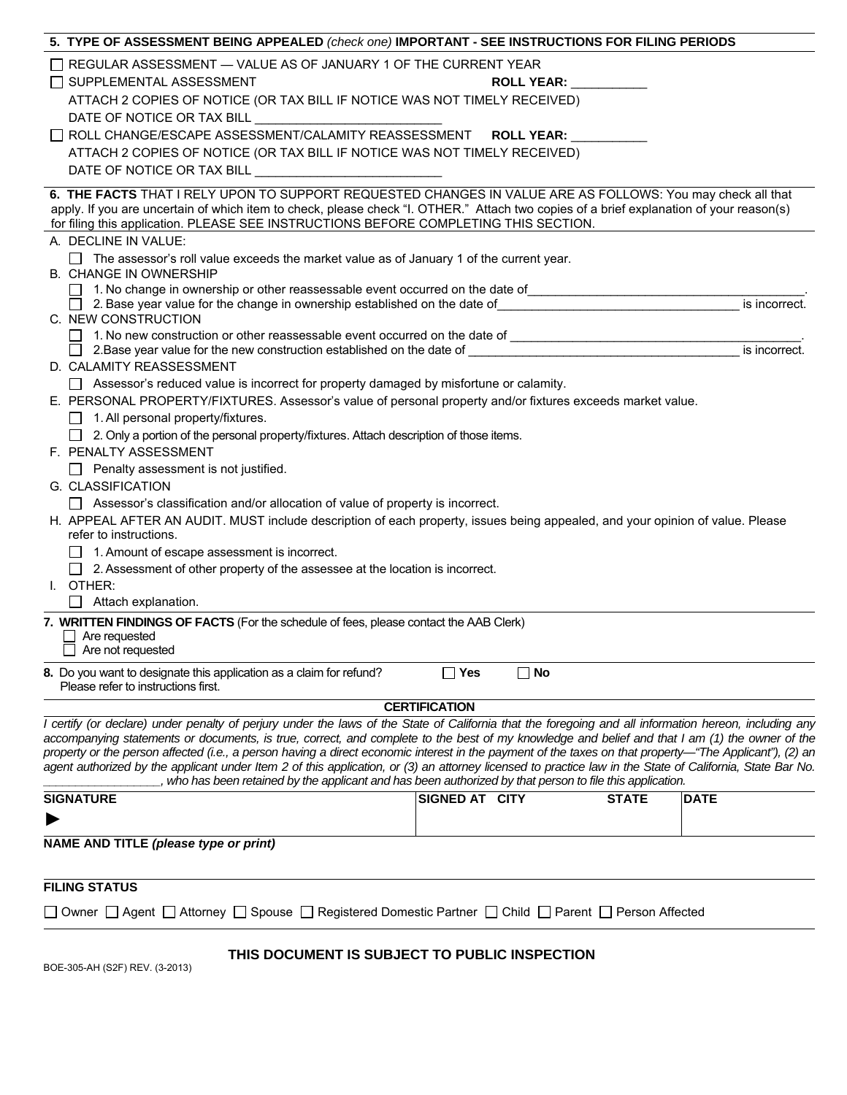| 5. TYPE OF ASSESSMENT BEING APPEALED (check one) IMPORTANT - SEE INSTRUCTIONS FOR FILING PERIODS                                                                                                                                                                                                                                                                                                                                                                                                                                                                                                                                                                                                                                                                                                                                                                                                                                                                                                                                                                                                                                                                                                                                                                                                                                                                                                                                                                                                                                                                                                                                                                                                                                                                           |                       |                   |                                |
|----------------------------------------------------------------------------------------------------------------------------------------------------------------------------------------------------------------------------------------------------------------------------------------------------------------------------------------------------------------------------------------------------------------------------------------------------------------------------------------------------------------------------------------------------------------------------------------------------------------------------------------------------------------------------------------------------------------------------------------------------------------------------------------------------------------------------------------------------------------------------------------------------------------------------------------------------------------------------------------------------------------------------------------------------------------------------------------------------------------------------------------------------------------------------------------------------------------------------------------------------------------------------------------------------------------------------------------------------------------------------------------------------------------------------------------------------------------------------------------------------------------------------------------------------------------------------------------------------------------------------------------------------------------------------------------------------------------------------------------------------------------------------|-----------------------|-------------------|--------------------------------|
| $\Box$ REGULAR ASSESSMENT $-$ VALUE AS OF JANUARY 1 OF THE CURRENT YEAR<br>□ SUPPLEMENTAL ASSESSMENT<br>ATTACH 2 COPIES OF NOTICE (OR TAX BILL IF NOTICE WAS NOT TIMELY RECEIVED)<br>DATE OF NOTICE OR TAX BILL DATE OF NOTICE OR TAX BILL<br>□ ROLL CHANGE/ESCAPE ASSESSMENT/CALAMITY REASSESSMENT ROLL YEAR: __________<br>ATTACH 2 COPIES OF NOTICE (OR TAX BILL IF NOTICE WAS NOT TIMELY RECEIVED)                                                                                                                                                                                                                                                                                                                                                                                                                                                                                                                                                                                                                                                                                                                                                                                                                                                                                                                                                                                                                                                                                                                                                                                                                                                                                                                                                                     |                       | <b>ROLL YEAR:</b> |                                |
| DATE OF NOTICE OR TAX BILL DATE OF NOTICE OR TAX BILL                                                                                                                                                                                                                                                                                                                                                                                                                                                                                                                                                                                                                                                                                                                                                                                                                                                                                                                                                                                                                                                                                                                                                                                                                                                                                                                                                                                                                                                                                                                                                                                                                                                                                                                      |                       |                   |                                |
| 6. THE FACTS THAT I RELY UPON TO SUPPORT REQUESTED CHANGES IN VALUE ARE AS FOLLOWS: You may check all that<br>apply. If you are uncertain of which item to check, please check "I. OTHER." Attach two copies of a brief explanation of your reason(s)<br>for filing this application. PLEASE SEE INSTRUCTIONS BEFORE COMPLETING THIS SECTION.<br>A. DECLINE IN VALUE:<br>$\Box$ The assessor's roll value exceeds the market value as of January 1 of the current year.<br><b>B. CHANGE IN OWNERSHIP</b><br>1. No change in ownership or other reassessable event occurred on the date of<br>2. Base year value for the change in ownership established on the date of<br>C. NEW CONSTRUCTION<br>1. No new construction or other reassessable event occurred on the date of __________________________________<br>2. Base year value for the new construction established on the date of 2. Base year value of 2. Base year value for the new construction established on the date of<br>D. CALAMITY REASSESSMENT<br>□ Assessor's reduced value is incorrect for property damaged by misfortune or calamity.<br>E. PERSONAL PROPERTY/FIXTURES. Assessor's value of personal property and/or fixtures exceeds market value.<br>$\Box$ 1. All personal property/fixtures.<br>$\Box$ 2. Only a portion of the personal property/fixtures. Attach description of those items.<br>F. PENALTY ASSESSMENT<br>$\Box$ Penalty assessment is not justified.<br>G. CLASSIFICATION<br>$\Box$ Assessor's classification and/or allocation of value of property is incorrect.<br>H. APPEAL AFTER AN AUDIT. MUST include description of each property, issues being appealed, and your opinion of value. Please<br>refer to instructions.<br>1. Amount of escape assessment is incorrect. |                       |                   | is incorrect.<br>is incorrect. |
| $\Box$ 2. Assessment of other property of the assessee at the location is incorrect.                                                                                                                                                                                                                                                                                                                                                                                                                                                                                                                                                                                                                                                                                                                                                                                                                                                                                                                                                                                                                                                                                                                                                                                                                                                                                                                                                                                                                                                                                                                                                                                                                                                                                       |                       |                   |                                |
| I. OTHER:                                                                                                                                                                                                                                                                                                                                                                                                                                                                                                                                                                                                                                                                                                                                                                                                                                                                                                                                                                                                                                                                                                                                                                                                                                                                                                                                                                                                                                                                                                                                                                                                                                                                                                                                                                  |                       |                   |                                |
| Attach explanation.<br>$\Box$                                                                                                                                                                                                                                                                                                                                                                                                                                                                                                                                                                                                                                                                                                                                                                                                                                                                                                                                                                                                                                                                                                                                                                                                                                                                                                                                                                                                                                                                                                                                                                                                                                                                                                                                              |                       |                   |                                |
| 7. WRITTEN FINDINGS OF FACTS (For the schedule of fees, please contact the AAB Clerk)<br>Are requested<br>$\Box$ Are not requested<br>8. Do you want to designate this application as a claim for refund?<br>Please refer to instructions first.                                                                                                                                                                                                                                                                                                                                                                                                                                                                                                                                                                                                                                                                                                                                                                                                                                                                                                                                                                                                                                                                                                                                                                                                                                                                                                                                                                                                                                                                                                                           | $\Box$ Yes            | $\Box$ No         |                                |
|                                                                                                                                                                                                                                                                                                                                                                                                                                                                                                                                                                                                                                                                                                                                                                                                                                                                                                                                                                                                                                                                                                                                                                                                                                                                                                                                                                                                                                                                                                                                                                                                                                                                                                                                                                            | <b>CERTIFICATION</b>  |                   |                                |
| I certify (or declare) under penalty of perjury under the laws of the State of California that the foregoing and all information hereon, including any<br>accompanying statements or documents, is true, correct, and complete to the best of my knowledge and belief and that I am (1) the owner of the<br>property or the person affected (i.e., a person having a direct economic interest in the payment of the taxes on that property—"The Applicant"), (2) an<br>agent authorized by the applicant under Item 2 of this application, or (3) an attorney licensed to practice law in the State of California, State Bar No.<br>, who has been retained by the applicant and has been authorized by that person to file this application.                                                                                                                                                                                                                                                                                                                                                                                                                                                                                                                                                                                                                                                                                                                                                                                                                                                                                                                                                                                                                              |                       |                   |                                |
| <b>SIGNATURE</b>                                                                                                                                                                                                                                                                                                                                                                                                                                                                                                                                                                                                                                                                                                                                                                                                                                                                                                                                                                                                                                                                                                                                                                                                                                                                                                                                                                                                                                                                                                                                                                                                                                                                                                                                                           | <b>SIGNED AT CITY</b> | <b>STATE</b>      | <b>DATE</b>                    |
| ▶                                                                                                                                                                                                                                                                                                                                                                                                                                                                                                                                                                                                                                                                                                                                                                                                                                                                                                                                                                                                                                                                                                                                                                                                                                                                                                                                                                                                                                                                                                                                                                                                                                                                                                                                                                          |                       |                   |                                |
| NAME AND TITLE (please type or print)                                                                                                                                                                                                                                                                                                                                                                                                                                                                                                                                                                                                                                                                                                                                                                                                                                                                                                                                                                                                                                                                                                                                                                                                                                                                                                                                                                                                                                                                                                                                                                                                                                                                                                                                      |                       |                   |                                |
| <b>FILING STATUS</b>                                                                                                                                                                                                                                                                                                                                                                                                                                                                                                                                                                                                                                                                                                                                                                                                                                                                                                                                                                                                                                                                                                                                                                                                                                                                                                                                                                                                                                                                                                                                                                                                                                                                                                                                                       |                       |                   |                                |
| □ Owner □ Agent □ Attorney □ Spouse □ Registered Domestic Partner □ Child □ Parent □ Person Affected                                                                                                                                                                                                                                                                                                                                                                                                                                                                                                                                                                                                                                                                                                                                                                                                                                                                                                                                                                                                                                                                                                                                                                                                                                                                                                                                                                                                                                                                                                                                                                                                                                                                       |                       |                   |                                |
| THIS DOCUMENT IS SUBJECT TO PUBLIC INSPECTION<br>BOE-305-AH (S2F) REV. (3-2013)                                                                                                                                                                                                                                                                                                                                                                                                                                                                                                                                                                                                                                                                                                                                                                                                                                                                                                                                                                                                                                                                                                                                                                                                                                                                                                                                                                                                                                                                                                                                                                                                                                                                                            |                       |                   |                                |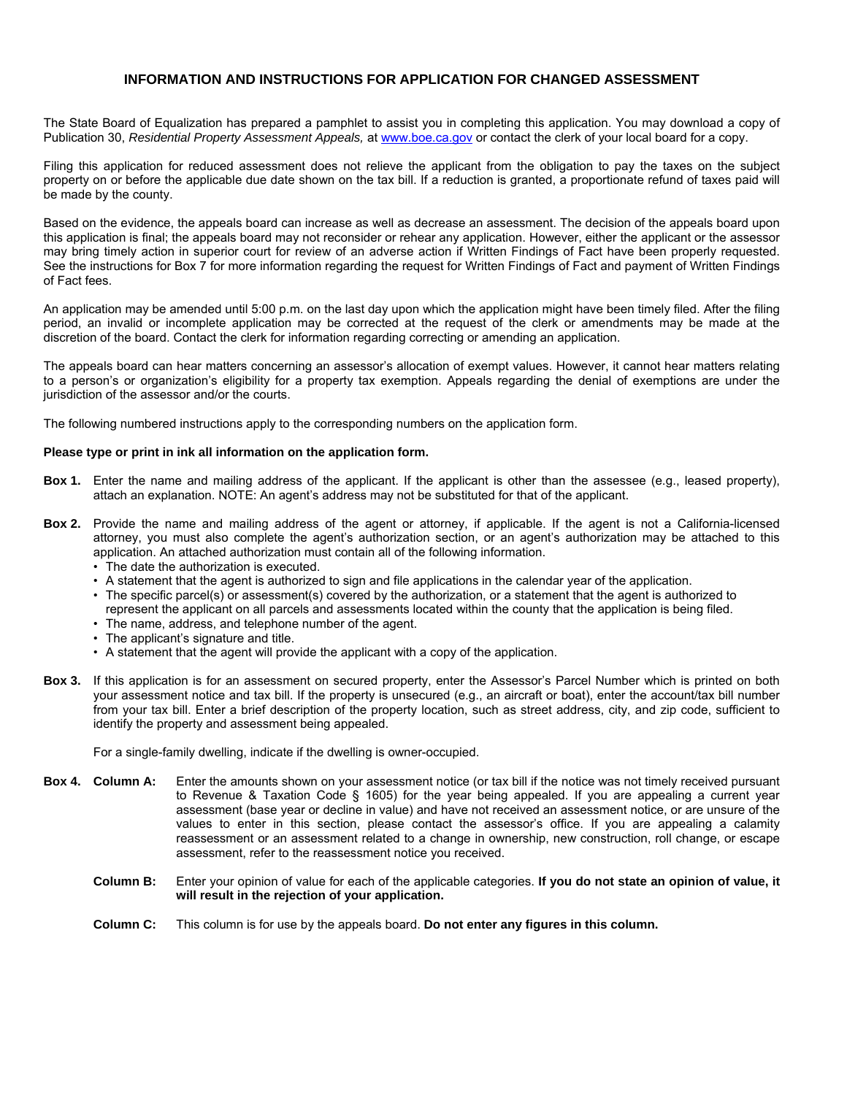# **INFORMATION AND INSTRUCTIONS FOR APPLICATION FOR CHANGED ASSESSMENT**

The State Board of Equalization has prepared a pamphlet to assist you in completing this application. You may download a copy of Publication 30, *Residential Property Assessment Appeals,* at www.boe.ca.gov or contact the clerk of your local board for a copy.

Filing this application for reduced assessment does not relieve the applicant from the obligation to pay the taxes on the subject property on or before the applicable due date shown on the tax bill. If a reduction is granted, a proportionate refund of taxes paid will be made by the county.

Based on the evidence, the appeals board can increase as well as decrease an assessment. The decision of the appeals board upon this application is final; the appeals board may not reconsider or rehear any application. However, either the applicant or the assessor may bring timely action in superior court for review of an adverse action if Written Findings of Fact have been properly requested. See the instructions for Box 7 for more information regarding the request for Written Findings of Fact and payment of Written Findings of Fact fees.

An application may be amended until 5:00 p.m. on the last day upon which the application might have been timely filed. After the filing period, an invalid or incomplete application may be corrected at the request of the clerk or amendments may be made at the discretion of the board. Contact the clerk for information regarding correcting or amending an application.

The appeals board can hear matters concerning an assessor's allocation of exempt values. However, it cannot hear matters relating to a person's or organization's eligibility for a property tax exemption. Appeals regarding the denial of exemptions are under the jurisdiction of the assessor and/or the courts.

The following numbered instructions apply to the corresponding numbers on the application form.

### **Please type or print in ink all information on the application form.**

- **Box 1.** Enter the name and mailing address of the applicant. If the applicant is other than the assessee (e.g., leased property), attach an explanation. NOTE: An agent's address may not be substituted for that of the applicant.
- **Box 2.** Provide the name and mailing address of the agent or attorney, if applicable. If the agent is not a California-licensed attorney, you must also complete the agent's authorization section, or an agent's authorization may be attached to this application. An attached authorization must contain all of the following information.
	- The date the authorization is executed.
	- A statement that the agent is authorized to sign and file applications in the calendar year of the application.
	- The specific parcel(s) or assessment(s) covered by the authorization, or a statement that the agent is authorized to represent the applicant on all parcels and assessments located within the county that the application is being filed.
	- The name, address, and telephone number of the agent.
	- The applicant's signature and title.
	- A statement that the agent will provide the applicant with a copy of the application.
- **Box 3.** If this application is for an assessment on secured property, enter the Assessor's Parcel Number which is printed on both your assessment notice and tax bill. If the property is unsecured (e.g., an aircraft or boat), enter the account/tax bill number from your tax bill. Enter a brief description of the property location, such as street address, city, and zip code, sufficient to identify the property and assessment being appealed.

For a single-family dwelling, indicate if the dwelling is owner-occupied.

- **Box 4. Column A:** Enter the amounts shown on your assessment notice (or tax bill if the notice was not timely received pursuant to Revenue & Taxation Code § 1605) for the year being appealed. If you are appealing a current year assessment (base year or decline in value) and have not received an assessment notice, or are unsure of the values to enter in this section, please contact the assessor's office. If you are appealing a calamity reassessment or an assessment related to a change in ownership, new construction, roll change, or escape assessment, refer to the reassessment notice you received.
	- **Column B:** Enter your opinion of value for each of the applicable categories. **If you do not state an opinion of value, it will result in the rejection of your application.**
	- **Column C:** This column is for use by the appeals board. **Do not enter any figures in this column.**